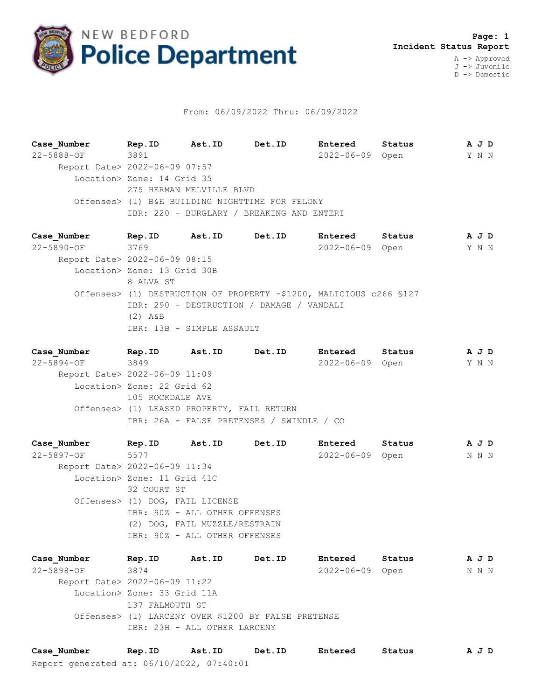

## From: 06/09/2022 Thru: 06/09/2022

**Case\_Number Rep.ID Ast.ID Det.ID Entered Status A J D** 22-5888-OF 3891 2022-06-09 Open Y N N Report Date> 2022-06-09 07:57 Location> Zone: 14 Grid 35 275 HERMAN MELVILLE BLVD Offenses> (1) B&E BUILDING NIGHTTIME FOR FELONY IBR: 220 - BURGLARY / BREAKING AND ENTERI

**Case\_Number Rep.ID Ast.ID Det.ID Entered Status A J D** 22-5890-OF 3769 2022-06-09 Open Y N N Report Date> 2022-06-09 08:15 Location> Zone: 13 Grid 30B 8 ALVA ST Offenses> (1) DESTRUCTION OF PROPERTY -\$1200, MALICIOUS c266 §127 IBR: 290 - DESTRUCTION / DAMAGE / VANDALI (2) A&B IBR: 13B - SIMPLE ASSAULT

**Case\_Number Rep.ID Ast.ID Det.ID Entered Status A J D** 22-5894-OF 3849 2022-06-09 Open Y N N Report Date> 2022-06-09 11:09 Location> Zone: 22 Grid 62 105 ROCKDALE AVE Offenses> (1) LEASED PROPERTY, FAIL RETURN IBR: 26A - FALSE PRETENSES / SWINDLE / CO

**Case\_Number Rep.ID Ast.ID Det.ID Entered Status A J D** 22-5897-OF 5577 2022-06-09 Open N N N Report Date> 2022-06-09 11:34 Location> Zone: 11 Grid 41C 32 COURT ST Offenses> (1) DOG, FAIL LICENSE IBR: 90Z - ALL OTHER OFFENSES (2) DOG, FAIL MUZZLE/RESTRAIN IBR: 90Z - ALL OTHER OFFENSES

**Case\_Number Rep.ID Ast.ID Det.ID Entered Status A J D** 22-5898-OF 3874 2022-06-09 Open N N N Report Date> 2022-06-09 11:22 Location> Zone: 33 Grid 11A 137 FALMOUTH ST Offenses> (1) LARCENY OVER \$1200 BY FALSE PRETENSE IBR: 23H - ALL OTHER LARCENY

Report generated at: 06/10/2022, 07:40:01 **Case\_Number Rep.ID Ast.ID Det.ID Entered Status A J D**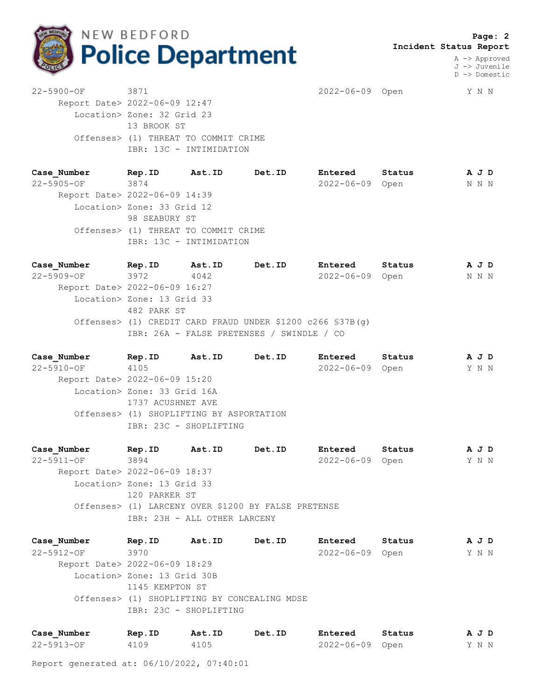

 **Page: 2 Incident Status Report**

> A -> Approved J -> Juvenile D -> Domestic

22-5900-OF 3871 2022-06-09 Open Y N N Report Date> 2022-06-09 12:47 Location> Zone: 32 Grid 23 13 BROOK ST Offenses> (1) THREAT TO COMMIT CRIME IBR: 13C - INTIMIDATION

**Case\_Number Rep.ID Ast.ID Det.ID Entered Status A J D** 22-5905-OF 3874 2022-06-09 Open N N N Report Date> 2022-06-09 14:39 Location> Zone: 33 Grid 12 98 SEABURY ST Offenses> (1) THREAT TO COMMIT CRIME IBR: 13C - INTIMIDATION

**Case\_Number Rep.ID Ast.ID Det.ID Entered Status A J D** 22-5909-OF 3972 4042 2022-06-09 Open N N N Report Date> 2022-06-09 16:27 Location> Zone: 13 Grid 33 482 PARK ST Offenses> (1) CREDIT CARD FRAUD UNDER \$1200 c266 §37B(g) IBR: 26A - FALSE PRETENSES / SWINDLE / CO

**Case\_Number Rep.ID Ast.ID Det.ID Entered Status A J D** 22-5910-OF 4105 2022-06-09 Open Y N N Report Date> 2022-06-09 15:20 Location> Zone: 33 Grid 16A 1737 ACUSHNET AVE Offenses> (1) SHOPLIFTING BY ASPORTATION IBR: 23C - SHOPLIFTING

**Case\_Number Rep.ID Ast.ID Det.ID Entered Status A J D** 22-5911-OF 3894 2022-06-09 Open Y N N Report Date> 2022-06-09 18:37 Location> Zone: 13 Grid 33 120 PARKER ST Offenses> (1) LARCENY OVER \$1200 BY FALSE PRETENSE IBR: 23H - ALL OTHER LARCENY

**Case\_Number Rep.ID Ast.ID Det.ID Entered Status A J D** 22-5912-OF 3970 2022-06-09 Open Y N N Report Date> 2022-06-09 18:29 Location> Zone: 13 Grid 30B 1145 KEMPTON ST Offenses> (1) SHOPLIFTING BY CONCEALING MDSE IBR: 23C - SHOPLIFTING

| Case Number | Rep.ID | Ast.ID | Det.ID | Entered         | Status | AJD   |  |  |
|-------------|--------|--------|--------|-----------------|--------|-------|--|--|
| 22-5913-OF  | 4109   | 4105   |        | 2022-06-09 Open |        | Y N N |  |  |

Report generated at: 06/10/2022, 07:40:01